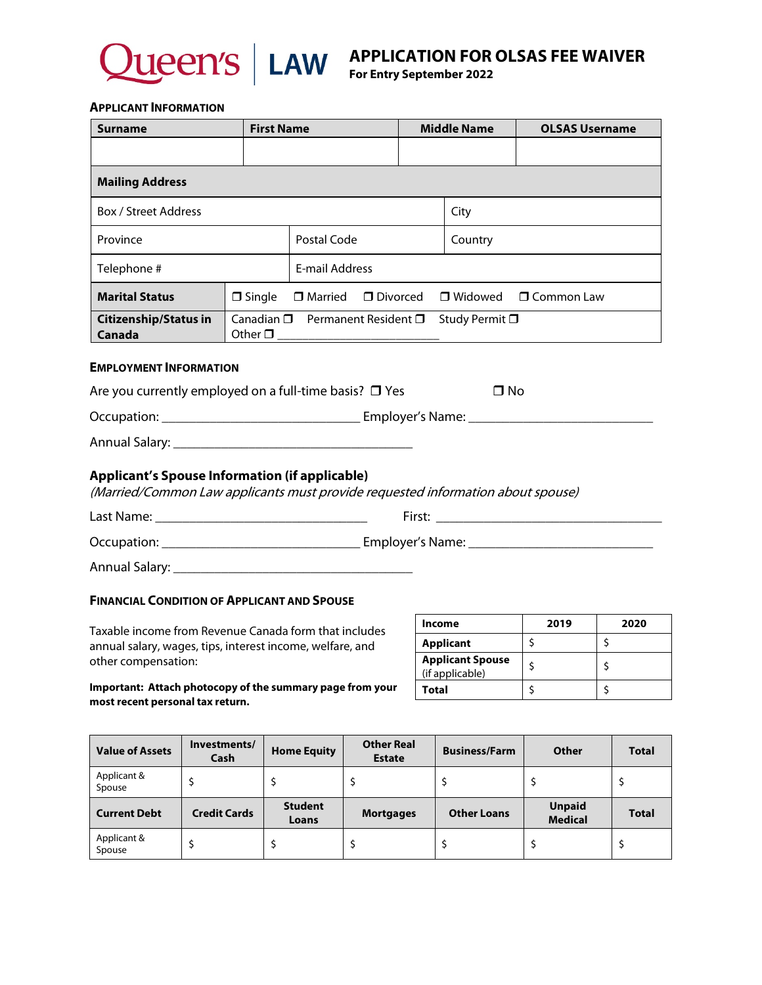

**APPLICATION FOR OLSAS FEE WAIVER** 

**For Entry September 2022**

#### **APPLICANT INFORMATION**

| <b>Surname</b>                                                                                                                           |                                                   | <b>First Name</b> |                 | <b>Middle Name</b> | <b>OLSAS Username</b> |  |  |
|------------------------------------------------------------------------------------------------------------------------------------------|---------------------------------------------------|-------------------|-----------------|--------------------|-----------------------|--|--|
|                                                                                                                                          |                                                   |                   |                 |                    |                       |  |  |
| <b>Mailing Address</b>                                                                                                                   |                                                   |                   |                 |                    |                       |  |  |
| <b>Box / Street Address</b>                                                                                                              |                                                   |                   | City            |                    |                       |  |  |
| Province                                                                                                                                 | Postal Code                                       |                   | Country         |                    |                       |  |  |
| Telephone #                                                                                                                              |                                                   | E-mail Address    |                 |                    |                       |  |  |
| <b>Marital Status</b>                                                                                                                    | $\square$ Single                                  | $\Box$ Married    | $\Box$ Divorced | $\Box$ Widowed     | $\Box$ Common Law     |  |  |
| <b>Citizenship/Status in</b><br>Canada                                                                                                   | Canadian □ Permanent Resident □<br>Study Permit □ |                   |                 |                    |                       |  |  |
| <b>EMPLOYMENT INFORMATION</b>                                                                                                            |                                                   |                   |                 |                    |                       |  |  |
| Are you currently employed on a full-time basis? $\square$ Yes                                                                           |                                                   |                   |                 | □ No               |                       |  |  |
|                                                                                                                                          |                                                   |                   |                 |                    |                       |  |  |
|                                                                                                                                          |                                                   |                   |                 |                    |                       |  |  |
| <b>Applicant's Spouse Information (if applicable)</b><br>(Married/Common Law applicants must provide requested information about spouse) |                                                   |                   |                 |                    |                       |  |  |
|                                                                                                                                          |                                                   |                   |                 |                    |                       |  |  |
|                                                                                                                                          |                                                   |                   |                 |                    |                       |  |  |
|                                                                                                                                          |                                                   |                   |                 |                    |                       |  |  |

### **FINANCIAL CONDITION OF APPLICANT AND SPOUSE**

Taxable income from Revenue Canada form that includes annual salary, wages, tips, interest income, welfare, and other compensation:

| Income                                     | 2019 | 2020 |
|--------------------------------------------|------|------|
| <b>Applicant</b>                           |      |      |
| <b>Applicant Spouse</b><br>(if applicable) |      |      |
| <b>Total</b>                               |      |      |

**Important: Attach photocopy of the summary page from your most recent personal tax return.**

| <b>Value of Assets</b> | Investments/<br>Cash | <b>Home Equity</b> | <b>Other Real</b><br><b>Estate</b> | <b>Business/Farm</b> | Other          | <b>Total</b> |
|------------------------|----------------------|--------------------|------------------------------------|----------------------|----------------|--------------|
| Applicant &<br>Spouse  |                      |                    |                                    |                      |                |              |
| <b>Current Debt</b>    |                      | <b>Student</b>     |                                    |                      | <b>Unpaid</b>  |              |
|                        | <b>Credit Cards</b>  | Loans              | <b>Mortgages</b>                   | <b>Other Loans</b>   | <b>Medical</b> | <b>Total</b> |